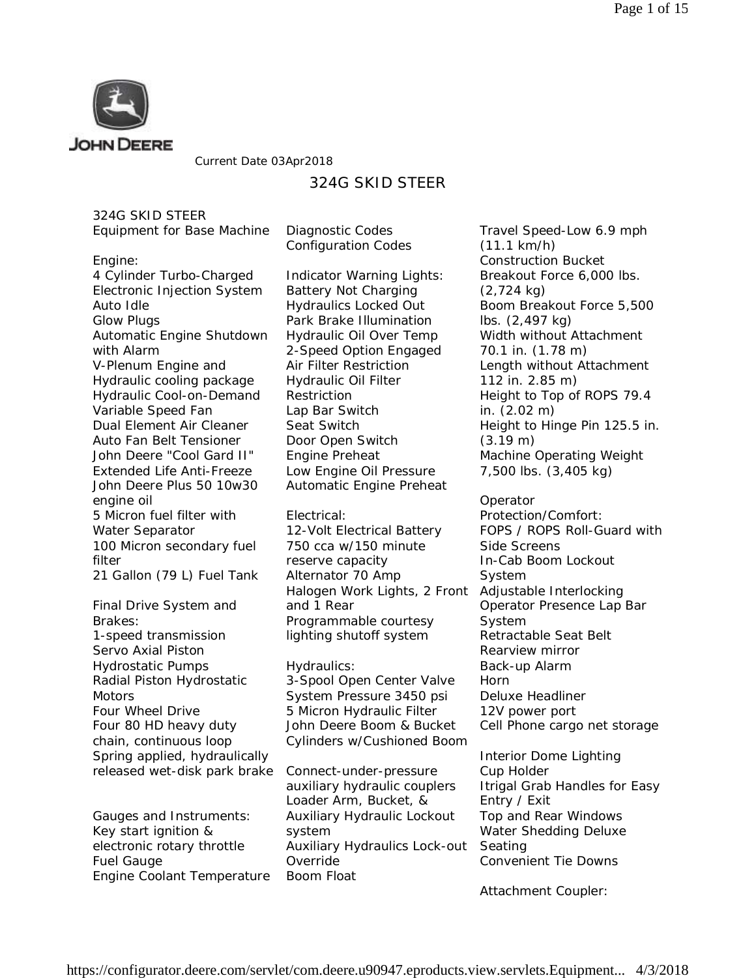

Current Date 03Apr2018

# 324G SKID STEER

324G SKID STEER

| Equipment for Base Machine  Diagnostic Codes |                          |
|----------------------------------------------|--------------------------|
|                                              | <b>Configuration Coo</b> |

Engine:

4 Cylinder Turbo-Charged Electronic Injection System Auto Idle Glow Plugs Automatic Engine Shutdown with Alarm V-Plenum Engine and Hydraulic cooling package Hydraulic Cool-on-Demand Variable Speed Fan Dual Element Air Cleaner Auto Fan Belt Tensioner John Deere "Cool Gard II" Extended Life Anti-Freeze John Deere Plus 50 10w30 engine oil 5 Micron fuel filter with Water Separator 100 Micron secondary fuel filter 21 Gallon (79 L) Fuel Tank

Final Drive System and Brakes: 1-speed transmission Servo Axial Piston Hydrostatic Pumps Radial Piston Hydrostatic **Motors** Four Wheel Drive Four 80 HD heavy duty chain, continuous loop Spring applied, hydraulically released wet-disk park brake

Gauges and Instruments: Key start ignition & electronic rotary throttle Fuel Gauge Engine Coolant Temperature

des Indicator Warning Lights:

Battery Not Charging Hydraulics Locked Out Park Brake Illumination Hydraulic Oil Over Temp 2-Speed Option Engaged Air Filter Restriction Hydraulic Oil Filter Restriction Lap Bar Switch Seat Switch Door Open Switch Engine Preheat Low Engine Oil Pressure Automatic Engine Preheat

Electrical: 12-Volt Electrical Battery 750 cca w/150 minute reserve capacity Alternator 70 Amp Halogen Work Lights, 2 Front and 1 Rear Programmable courtesy lighting shutoff system

Hydraulics: 3-Spool Open Center Valve System Pressure 3450 psi 5 Micron Hydraulic Filter John Deere Boom & Bucket Cylinders w/Cushioned Boom

Connect-under-pressure auxiliary hydraulic couplers Loader Arm, Bucket, & Auxiliary Hydraulic Lockout system Auxiliary Hydraulics Lock-out Override Boom Float

Travel Speed-Low 6.9 mph (11.1 km/h) Construction Bucket Breakout Force 6,000 lbs. (2,724 kg) Boom Breakout Force 5,500 lbs. (2,497 kg) Width without Attachment 70.1 in. (1.78 m) Length without Attachment 112 in. 2.85 m) Height to Top of ROPS 79.4 in. (2.02 m) Height to Hinge Pin 125.5 in. (3.19 m) Machine Operating Weight 7,500 lbs. (3,405 kg)

Operator Protection/Comfort: FOPS / ROPS Roll-Guard with Side Screens In-Cab Boom Lockout System Adjustable Interlocking Operator Presence Lap Bar System Retractable Seat Belt Rearview mirror Back-up Alarm Horn Deluxe Headliner 12V power port Cell Phone cargo net storage

Interior Dome Lighting Cup Holder Itrigal Grab Handles for Easy Entry / Exit Top and Rear Windows Water Shedding Deluxe Seating Convenient Tie Downs

Attachment Coupler: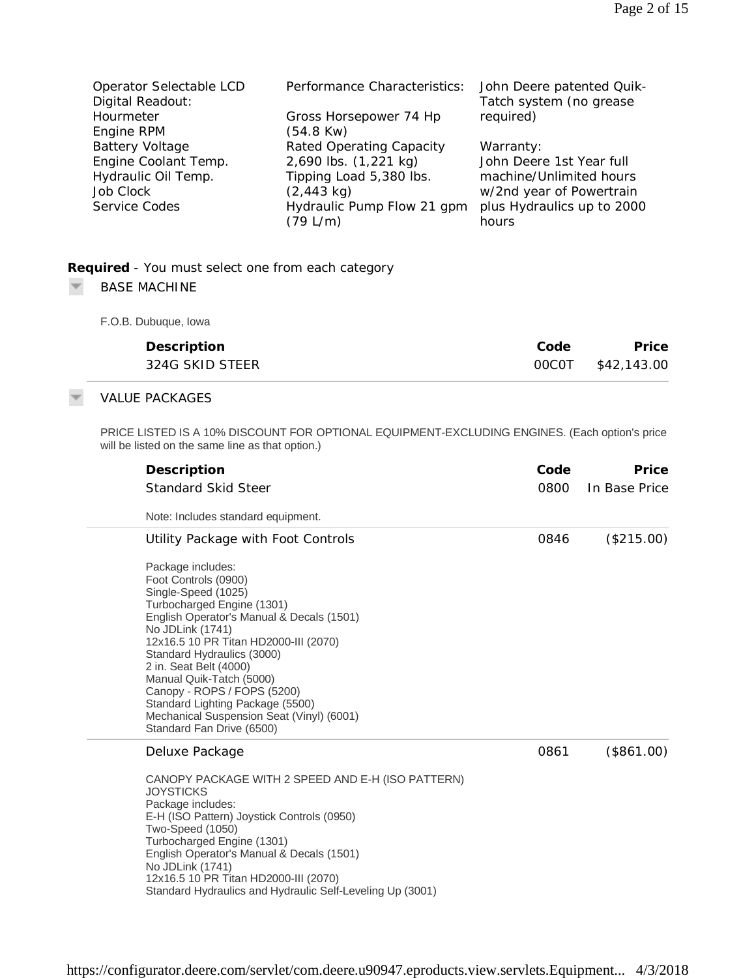| Operator Selectable LCD | Performance Characteristics: | John Deere patented Quik-  |
|-------------------------|------------------------------|----------------------------|
| Digital Readout:        |                              | Tatch system (no grease    |
| Hourmeter               | Gross Horsepower 74 Hp       | required)                  |
| Engine RPM              | $(54.8$ Kw $)$               |                            |
| <b>Battery Voltage</b>  | Rated Operating Capacity     | Warranty:                  |
| Engine Coolant Temp.    | 2,690 lbs. (1,221 kg)        | John Deere 1st Year full   |
| Hydraulic Oil Temp.     | Tipping Load 5,380 lbs.      | machine/Unlimited hours    |
| Job Clock               | $(2,443 \text{ kg})$         | w/2nd year of Powertrain   |
| Service Codes           | Hydraulic Pump Flow 21 gpm   | plus Hydraulics up to 2000 |
|                         | (79 L/m)                     | hours                      |

# **Required** *- You must select one from each category*

#### $\overline{\psi}$ BASE MACHINE

F.O.B. Dubuque, Iowa

| Description     | Code | Price             |
|-----------------|------|-------------------|
| 324G SKID STEER |      | 00COT \$42,143.00 |

## VALUE PACKAGES

PRICE LISTED IS A 10% DISCOUNT FOR OPTIONAL EQUIPMENT-EXCLUDING ENGINES. (Each option's price will be listed on the same line as that option.)

| Description                                                                                                                                                                                                                                                                                                                                                                                                                               | Code | Price         |
|-------------------------------------------------------------------------------------------------------------------------------------------------------------------------------------------------------------------------------------------------------------------------------------------------------------------------------------------------------------------------------------------------------------------------------------------|------|---------------|
| <b>Standard Skid Steer</b>                                                                                                                                                                                                                                                                                                                                                                                                                | 0800 | In Base Price |
| Note: Includes standard equipment.                                                                                                                                                                                                                                                                                                                                                                                                        |      |               |
| Utility Package with Foot Controls                                                                                                                                                                                                                                                                                                                                                                                                        | 0846 | (\$215.00)    |
| Package includes:<br>Foot Controls (0900)<br>Single-Speed (1025)<br>Turbocharged Engine (1301)<br>English Operator's Manual & Decals (1501)<br>No JDLink (1741)<br>12x16.5 10 PR Titan HD2000-III (2070)<br>Standard Hydraulics (3000)<br>2 in. Seat Belt (4000)<br>Manual Quik-Tatch (5000)<br>Canopy - ROPS / FOPS (5200)<br>Standard Lighting Package (5500)<br>Mechanical Suspension Seat (Vinyl) (6001)<br>Standard Fan Drive (6500) |      |               |
| Deluxe Package                                                                                                                                                                                                                                                                                                                                                                                                                            | 0861 | (\$861.00)    |
| CANOPY PACKAGE WITH 2 SPEED AND E-H (ISO PATTERN)<br><b>JOYSTICKS</b><br>Package includes:<br>E-H (ISO Pattern) Joystick Controls (0950)<br>Two-Speed (1050)<br>Turbocharged Engine (1301)<br>English Operator's Manual & Decals (1501)<br>No JDLink (1741)<br>12x16.5 10 PR Titan HD2000-III (2070)<br>Standard Hydraulics and Hydraulic Self-Leveling Up (3001)                                                                         |      |               |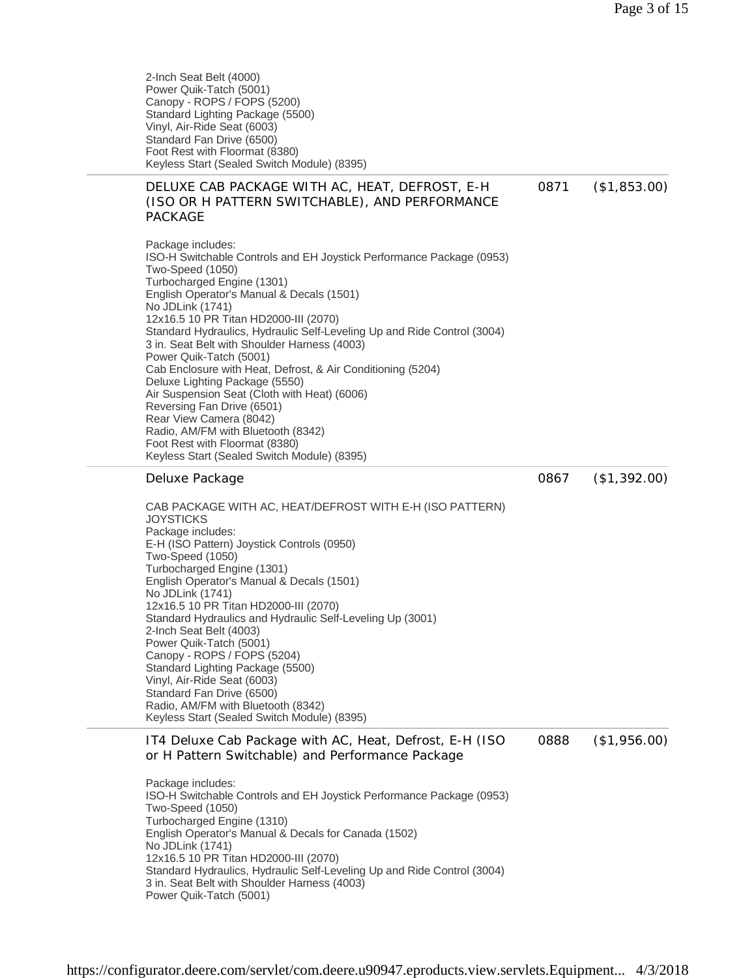2-Inch Seat Belt (4000) Power Quik-Tatch (5001) Canopy - ROPS / FOPS (5200) Standard Lighting Package (5500) Vinyl, Air-Ride Seat (6003) Standard Fan Drive (6500) Foot Rest with Floormat (8380) Keyless Start (Sealed Switch Module) (8395)

#### DELUXE CAB PACKAGE WITH AC, HEAT, DEFROST, E-H (ISO OR H PATTERN SWITCHABLE), AND PERFORMANCE PACKAGE 0871 (\$1,853.00)

Package includes: ISO-H Switchable Controls and EH Joystick Performance Package (0953) Two-Speed (1050) Turbocharged Engine (1301) English Operator's Manual & Decals (1501) No JDLink (1741) 12x16.5 10 PR Titan HD2000-III (2070) Standard Hydraulics, Hydraulic Self-Leveling Up and Ride Control (3004) 3 in. Seat Belt with Shoulder Harness (4003) Power Quik-Tatch (5001) Cab Enclosure with Heat, Defrost, & Air Conditioning (5204) Deluxe Lighting Package (5550) Air Suspension Seat (Cloth with Heat) (6006) Reversing Fan Drive (6501) Rear View Camera (8042) Radio, AM/FM with Bluetooth (8342) Foot Rest with Floormat (8380) Keyless Start (Sealed Switch Module) (8395)

#### Deluxe Package

0867 (\$1,392.00)

CAB PACKAGE WITH AC, HEAT/DEFROST WITH E-H (ISO PATTERN) **JOYSTICKS** Package includes: E-H (ISO Pattern) Joystick Controls (0950) Two-Speed (1050) Turbocharged Engine (1301) English Operator's Manual & Decals (1501) No JDLink (1741) 12x16.5 10 PR Titan HD2000-III (2070) Standard Hydraulics and Hydraulic Self-Leveling Up (3001) 2-Inch Seat Belt (4003) Power Quik-Tatch (5001) Canopy - ROPS / FOPS (5204) Standard Lighting Package (5500) Vinyl, Air-Ride Seat (6003) Standard Fan Drive (6500) Radio, AM/FM with Bluetooth (8342) Keyless Start (Sealed Switch Module) (8395)

IT4 Deluxe Cab Package with AC, Heat, Defrost, E-H (ISO or H Pattern Switchable) and Performance Package 0888 (\$1,956.00)

Package includes: ISO-H Switchable Controls and EH Joystick Performance Package (0953) Two-Speed (1050) Turbocharged Engine (1310) English Operator's Manual & Decals for Canada (1502) No JDLink (1741) 12x16.5 10 PR Titan HD2000-III (2070) Standard Hydraulics, Hydraulic Self-Leveling Up and Ride Control (3004) 3 in. Seat Belt with Shoulder Harness (4003) Power Quik-Tatch (5001)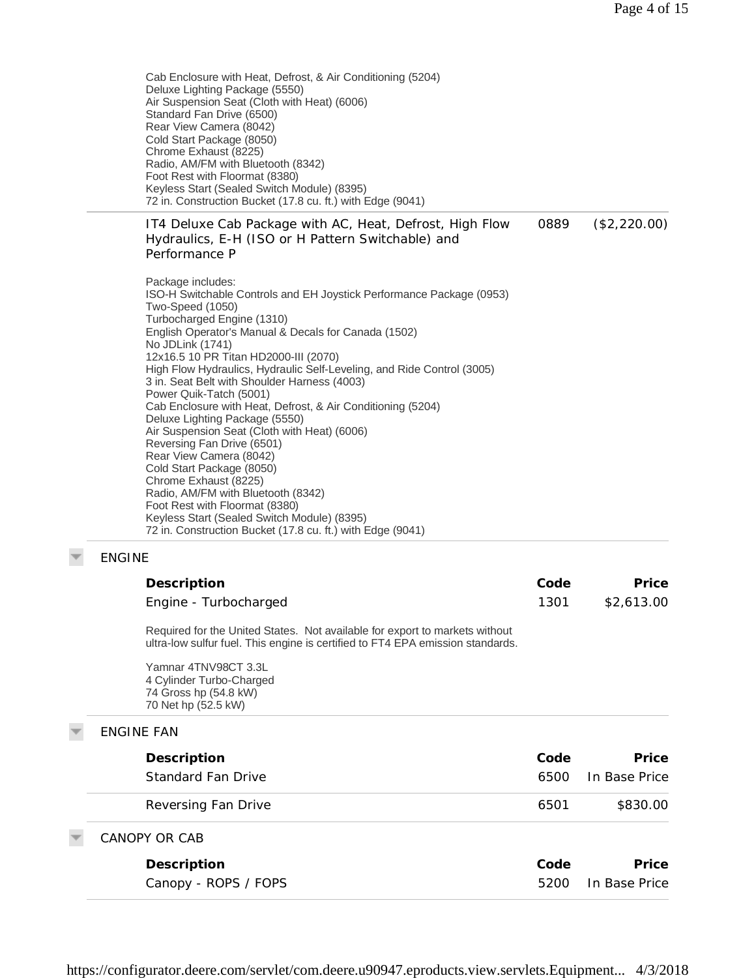Cab Enclosure with Heat, Defrost, & Air Conditioning (5204) Deluxe Lighting Package (5550) Air Suspension Seat (Cloth with Heat) (6006) Standard Fan Drive (6500) Rear View Camera (8042) Cold Start Package (8050) Chrome Exhaust (8225) Radio, AM/FM with Bluetooth (8342) Foot Rest with Floormat (8380) Keyless Start (Sealed Switch Module) (8395) 72 in. Construction Bucket (17.8 cu. ft.) with Edge (9041)

IT4 Deluxe Cab Package with AC, Heat, Defrost, High Flow Hydraulics, E-H (ISO or H Pattern Switchable) and Performance P 0889 (\$2,220.00)

Package includes: ISO-H Switchable Controls and EH Joystick Performance Package (0953) Two-Speed (1050) Turbocharged Engine (1310) English Operator's Manual & Decals for Canada (1502) No JDLink (1741) 12x16.5 10 PR Titan HD2000-III (2070) High Flow Hydraulics, Hydraulic Self-Leveling, and Ride Control (3005) 3 in. Seat Belt with Shoulder Harness (4003) Power Quik-Tatch (5001) Cab Enclosure with Heat, Defrost, & Air Conditioning (5204) Deluxe Lighting Package (5550) Air Suspension Seat (Cloth with Heat) (6006) Reversing Fan Drive (6501) Rear View Camera (8042) Cold Start Package (8050) Chrome Exhaust (8225) Radio, AM/FM with Bluetooth (8342) Foot Rest with Floormat (8380) Keyless Start (Sealed Switch Module) (8395) 72 in. Construction Bucket (17.8 cu. ft.) with Edge (9041)

#### ENGINE

| Description           | Code | Price      |
|-----------------------|------|------------|
| Engine - Turbocharged | 1301 | \$2,613.00 |

Required for the United States. Not available for export to markets without ultra-low sulfur fuel. This engine is certified to FT4 EPA emission standards.

Yamnar 4TNV98CT 3.3L 4 Cylinder Turbo-Charged 74 Gross hp (54.8 kW) 70 Net hp (52.5 kW)

# ENGINE FAN

| Description          | Code | Price         |
|----------------------|------|---------------|
| Standard Fan Drive   | 6500 | In Base Price |
| Reversing Fan Drive  | 6501 | \$830.00      |
| CANOPY OR CAB        |      |               |
| Description          | Code | Price         |
| Canopy - ROPS / FOPS | 5200 | In Base Price |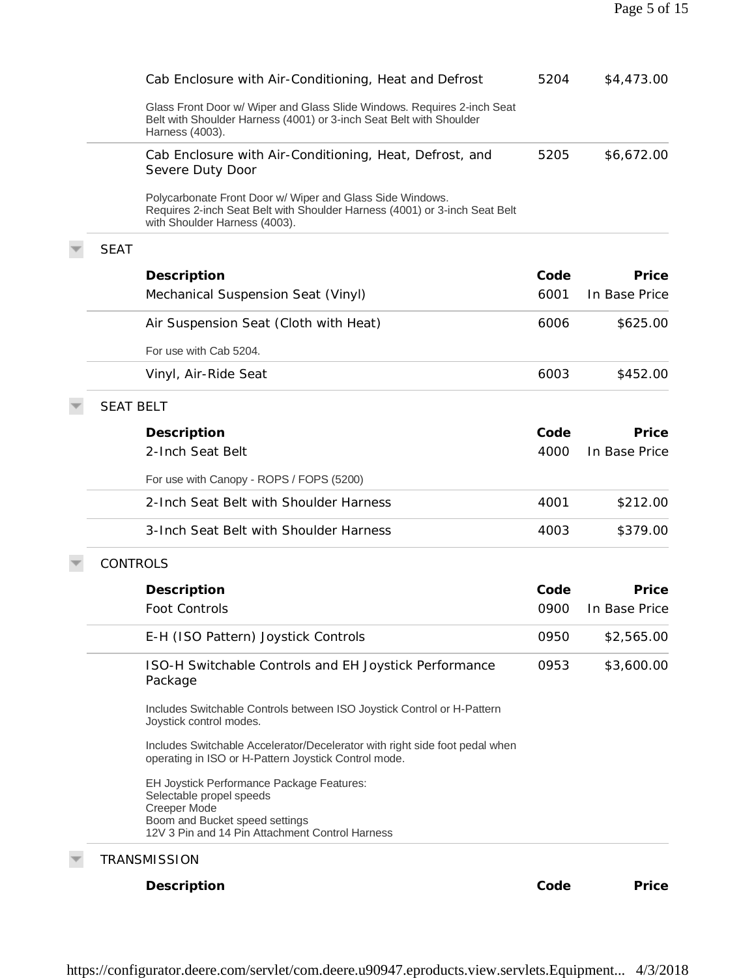|                  | Cab Enclosure with Air-Conditioning, Heat and Defrost                                                                                                                    | 5204 | \$4,473.00    |
|------------------|--------------------------------------------------------------------------------------------------------------------------------------------------------------------------|------|---------------|
|                  | Glass Front Door w/ Wiper and Glass Slide Windows. Requires 2-inch Seat<br>Belt with Shoulder Harness (4001) or 3-inch Seat Belt with Shoulder<br>Harness (4003).        |      |               |
|                  | Cab Enclosure with Air-Conditioning, Heat, Defrost, and<br>Severe Duty Door                                                                                              | 5205 | \$6,672.00    |
|                  | Polycarbonate Front Door w/ Wiper and Glass Side Windows.<br>Requires 2-inch Seat Belt with Shoulder Harness (4001) or 3-inch Seat Belt<br>with Shoulder Harness (4003). |      |               |
| <b>SEAT</b>      |                                                                                                                                                                          |      |               |
|                  | Description                                                                                                                                                              | Code | Price         |
|                  | Mechanical Suspension Seat (Vinyl)                                                                                                                                       | 6001 | In Base Price |
|                  | Air Suspension Seat (Cloth with Heat)                                                                                                                                    | 6006 | \$625.00      |
|                  | For use with Cab 5204.                                                                                                                                                   |      |               |
|                  | Vinyl, Air-Ride Seat                                                                                                                                                     | 6003 | \$452.00      |
| <b>SEAT BELT</b> |                                                                                                                                                                          |      |               |
|                  | Description                                                                                                                                                              | Code | Price         |
|                  | 2-Inch Seat Belt                                                                                                                                                         | 4000 | In Base Price |
|                  | For use with Canopy - ROPS / FOPS (5200)                                                                                                                                 |      |               |
|                  | 2-Inch Seat Belt with Shoulder Harness                                                                                                                                   | 4001 | \$212.00      |
|                  | 3-Inch Seat Belt with Shoulder Harness                                                                                                                                   | 4003 | \$379.00      |
| <b>CONTROLS</b>  |                                                                                                                                                                          |      |               |
|                  | Description                                                                                                                                                              | Code | Price         |
|                  | <b>Foot Controls</b>                                                                                                                                                     | 0900 | In Base Price |
|                  | E-H (ISO Pattern) Joystick Controls                                                                                                                                      | 0950 | \$2,565.00    |
|                  | ISO-H Switchable Controls and EH Joystick Performance<br>Package                                                                                                         | 0953 | \$3,600.00    |
|                  | Includes Switchable Controls between ISO Joystick Control or H-Pattern<br>Joystick control modes.                                                                        |      |               |
|                  | Includes Switchable Accelerator/Decelerator with right side foot pedal when<br>operating in ISO or H-Pattern Joystick Control mode.                                      |      |               |
|                  | EH Joystick Performance Package Features:<br>Selectable propel speeds<br><b>Creeper Mode</b>                                                                             |      |               |
|                  |                                                                                                                                                                          |      |               |

**Description Code Price**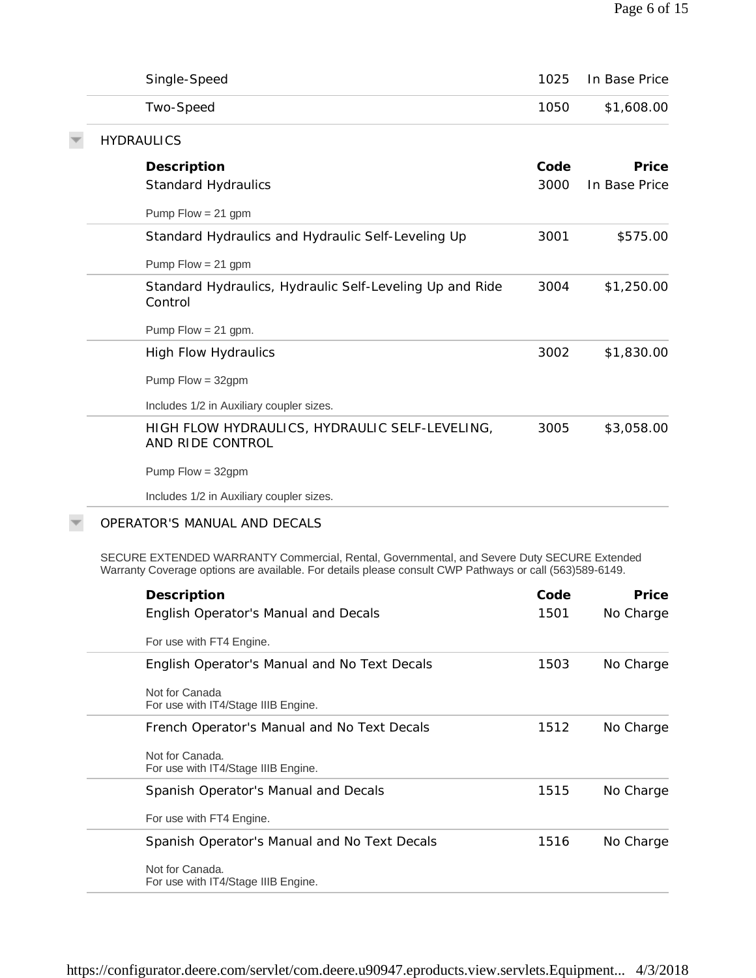| Single-Speed                                                                                                                                                                                          | 1025 | In Base Price |
|-------------------------------------------------------------------------------------------------------------------------------------------------------------------------------------------------------|------|---------------|
| Two-Speed                                                                                                                                                                                             | 1050 | \$1,608.00    |
| <b>HYDRAULICS</b>                                                                                                                                                                                     |      |               |
| Description                                                                                                                                                                                           | Code | Price         |
| <b>Standard Hydraulics</b>                                                                                                                                                                            | 3000 | In Base Price |
| Pump $Flow = 21$ gpm                                                                                                                                                                                  |      |               |
| Standard Hydraulics and Hydraulic Self-Leveling Up                                                                                                                                                    | 3001 | \$575.00      |
| Pump $Flow = 21$ gpm                                                                                                                                                                                  |      |               |
| Standard Hydraulics, Hydraulic Self-Leveling Up and Ride<br>Control                                                                                                                                   | 3004 | \$1,250.00    |
| Pump Flow = $21$ gpm.                                                                                                                                                                                 |      |               |
| <b>High Flow Hydraulics</b>                                                                                                                                                                           | 3002 | \$1,830.00    |
| Pump $Flow = 32gpm$                                                                                                                                                                                   |      |               |
| Includes 1/2 in Auxiliary coupler sizes.                                                                                                                                                              |      |               |
| HIGH FLOW HYDRAULICS, HYDRAULIC SELF-LEVELING,<br>AND RIDE CONTROL                                                                                                                                    | 3005 | \$3,058.00    |
| Pump Flow = 32gpm                                                                                                                                                                                     |      |               |
| Includes 1/2 in Auxiliary coupler sizes.                                                                                                                                                              |      |               |
| OPERATOR'S MANUAL AND DECALS                                                                                                                                                                          |      |               |
| SECURE EXTENDED WARRANTY Commercial, Rental, Governmental, and Severe Duty SECURE Extended<br>Warranty Coverage options are available. For details please consult CWP Pathways or call (563)589-6149. |      |               |
| Description                                                                                                                                                                                           | Code | Price         |
| English Operator's Manual and Decals                                                                                                                                                                  | 1501 | No Charge     |
| For use with FT4 Engine.                                                                                                                                                                              |      |               |
| English Operator's Manual and No Text Decals                                                                                                                                                          | 1503 | No Charge     |
| Not for Canada<br>For use with IT4/Stage IIIB Engine.                                                                                                                                                 |      |               |
| French Operator's Manual and No Text Decals                                                                                                                                                           | 1512 | No Charge     |
| Not for Canada.<br>For use with IT4/Stage IIIB Engine.                                                                                                                                                |      |               |
| Spanish Operator's Manual and Decals                                                                                                                                                                  | 1515 | No Charge     |
| For use with FT4 Engine.                                                                                                                                                                              |      |               |
| Spanish Operator's Manual and No Text Decals                                                                                                                                                          | 1516 | No Charge     |
| Not for Canada.<br>For use with IT4/Stage IIIB Engine.                                                                                                                                                |      |               |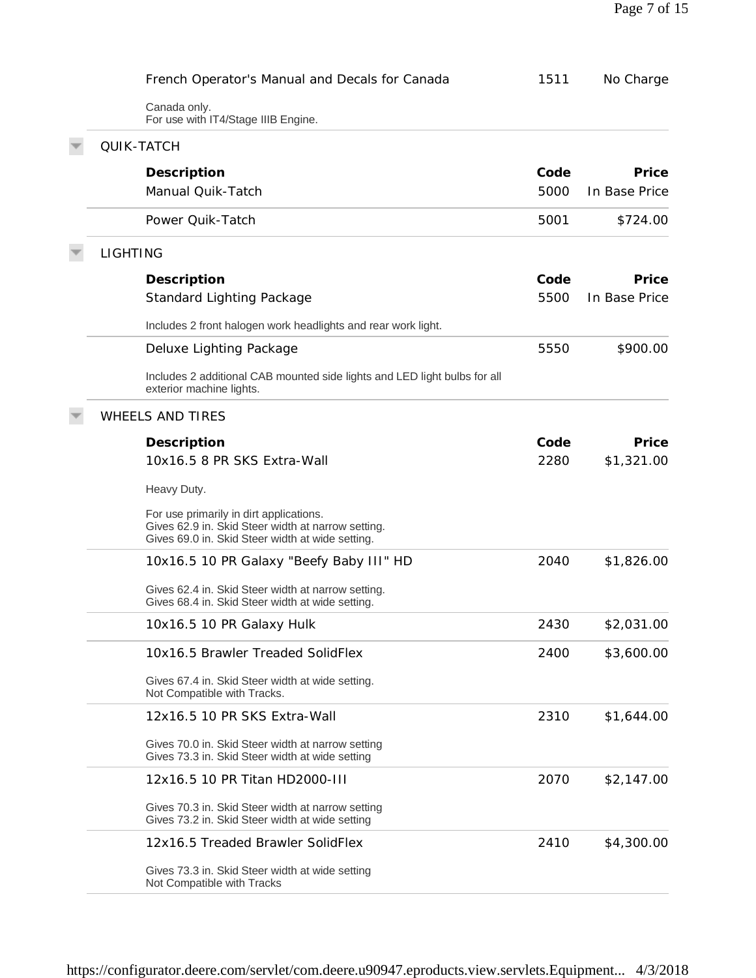|                 | French Operator's Manual and Decals for Canada                                                                                                    | 1511 | No Charge     |
|-----------------|---------------------------------------------------------------------------------------------------------------------------------------------------|------|---------------|
|                 | Canada only.<br>For use with IT4/Stage IIIB Engine.                                                                                               |      |               |
|                 | <b>QUIK-TATCH</b>                                                                                                                                 |      |               |
|                 | Description                                                                                                                                       | Code | Price         |
|                 | Manual Quik-Tatch                                                                                                                                 | 5000 | In Base Price |
|                 | Power Quik-Tatch                                                                                                                                  | 5001 | \$724.00      |
| <b>LIGHTING</b> |                                                                                                                                                   |      |               |
|                 | Description                                                                                                                                       | Code | Price         |
|                 | Standard Lighting Package                                                                                                                         | 5500 | In Base Price |
|                 | Includes 2 front halogen work headlights and rear work light.                                                                                     |      |               |
|                 | Deluxe Lighting Package                                                                                                                           | 5550 | \$900.00      |
|                 | Includes 2 additional CAB mounted side lights and LED light bulbs for all<br>exterior machine lights.                                             |      |               |
|                 | <b>WHEELS AND TIRES</b>                                                                                                                           |      |               |
|                 | Description                                                                                                                                       | Code | Price         |
|                 | 10x16.5 8 PR SKS Extra-Wall                                                                                                                       | 2280 | \$1,321.00    |
|                 | Heavy Duty.                                                                                                                                       |      |               |
|                 | For use primarily in dirt applications.<br>Gives 62.9 in. Skid Steer width at narrow setting.<br>Gives 69.0 in. Skid Steer width at wide setting. |      |               |
|                 | 10x16.5 10 PR Galaxy "Beefy Baby III" HD                                                                                                          | 2040 | \$1,826.00    |
|                 | Gives 62.4 in. Skid Steer width at narrow setting.<br>Gives 68.4 in. Skid Steer width at wide setting.                                            |      |               |
|                 | 10x16.5 10 PR Galaxy Hulk                                                                                                                         | 2430 | \$2,031.00    |
|                 | 10x16.5 Brawler Treaded SolidFlex                                                                                                                 | 2400 | \$3,600.00    |
|                 | Gives 67.4 in. Skid Steer width at wide setting.<br>Not Compatible with Tracks.                                                                   |      |               |
|                 | 12x16.5 10 PR SKS Extra-Wall                                                                                                                      | 2310 | \$1,644.00    |
|                 | Gives 70.0 in. Skid Steer width at narrow setting<br>Gives 73.3 in. Skid Steer width at wide setting                                              |      |               |
|                 | 12x16.5 10 PR Titan HD2000-III                                                                                                                    | 2070 | \$2,147.00    |
|                 | Gives 70.3 in. Skid Steer width at narrow setting<br>Gives 73.2 in. Skid Steer width at wide setting                                              |      |               |
|                 | 12x16.5 Treaded Brawler SolidFlex                                                                                                                 | 2410 | \$4,300.00    |
|                 | Gives 73.3 in. Skid Steer width at wide setting<br>Not Compatible with Tracks                                                                     |      |               |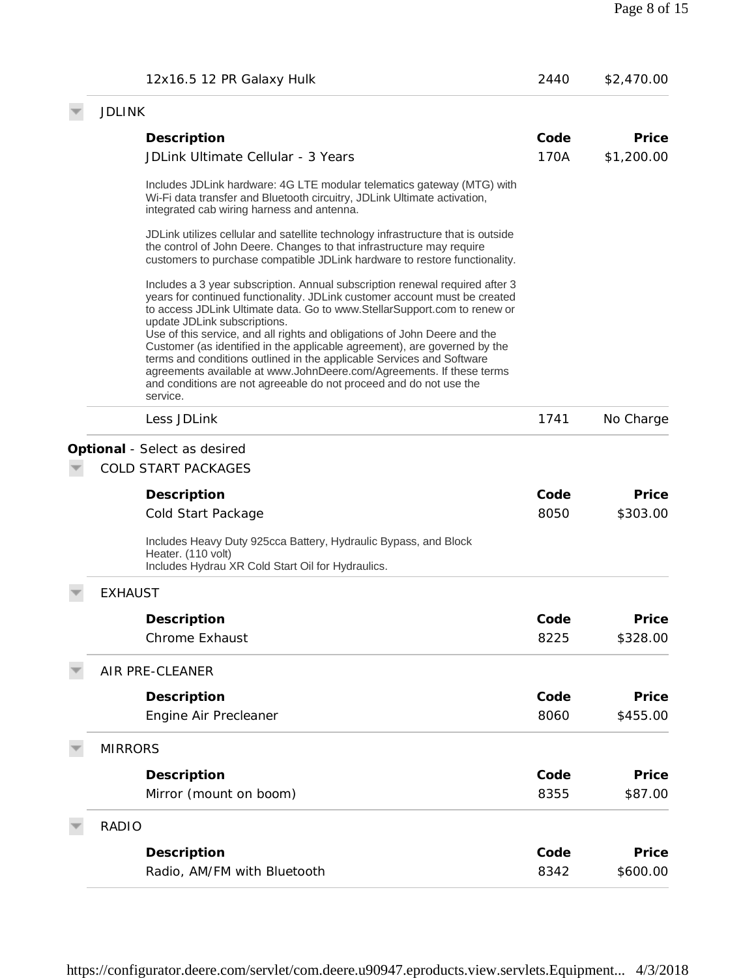| 12x16.5 12 PR Galaxy Hulk                                                                                                                                                                                                                                                                                                                                                                                                 | 2440 | \$2,470.00 |
|---------------------------------------------------------------------------------------------------------------------------------------------------------------------------------------------------------------------------------------------------------------------------------------------------------------------------------------------------------------------------------------------------------------------------|------|------------|
| <b>JDLINK</b>                                                                                                                                                                                                                                                                                                                                                                                                             |      |            |
| Description                                                                                                                                                                                                                                                                                                                                                                                                               | Code | Price      |
| JDLink Ultimate Cellular - 3 Years                                                                                                                                                                                                                                                                                                                                                                                        | 170A | \$1,200.00 |
| Includes JDLink hardware: 4G LTE modular telematics gateway (MTG) with<br>Wi-Fi data transfer and Bluetooth circuitry, JDLink Ultimate activation,<br>integrated cab wiring harness and antenna.                                                                                                                                                                                                                          |      |            |
| JDLink utilizes cellular and satellite technology infrastructure that is outside<br>the control of John Deere. Changes to that infrastructure may require<br>customers to purchase compatible JDLink hardware to restore functionality.                                                                                                                                                                                   |      |            |
| Includes a 3 year subscription. Annual subscription renewal required after 3<br>years for continued functionality. JDLink customer account must be created<br>to access JDLink Ultimate data. Go to www.StellarSupport.com to renew or                                                                                                                                                                                    |      |            |
| update JDLink subscriptions.<br>Use of this service, and all rights and obligations of John Deere and the<br>Customer (as identified in the applicable agreement), are governed by the<br>terms and conditions outlined in the applicable Services and Software<br>agreements available at www.JohnDeere.com/Agreements. If these terms<br>and conditions are not agreeable do not proceed and do not use the<br>service. |      |            |
| Less JDLink                                                                                                                                                                                                                                                                                                                                                                                                               | 1741 | No Charge  |
| Optional - Select as desired<br><b>COLD START PACKAGES</b>                                                                                                                                                                                                                                                                                                                                                                |      |            |
| Description                                                                                                                                                                                                                                                                                                                                                                                                               | Code | Price      |
| Cold Start Package                                                                                                                                                                                                                                                                                                                                                                                                        | 8050 | \$303.00   |
| Includes Heavy Duty 925cca Battery, Hydraulic Bypass, and Block<br>Heater. (110 volt)<br>Includes Hydrau XR Cold Start Oil for Hydraulics.                                                                                                                                                                                                                                                                                |      |            |
| <b>EXHAUST</b>                                                                                                                                                                                                                                                                                                                                                                                                            |      |            |
| Description                                                                                                                                                                                                                                                                                                                                                                                                               | Code | Price      |
| <b>Chrome Exhaust</b>                                                                                                                                                                                                                                                                                                                                                                                                     | 8225 | \$328.00   |
| AIR PRE-CLEANER                                                                                                                                                                                                                                                                                                                                                                                                           |      |            |
| Description                                                                                                                                                                                                                                                                                                                                                                                                               | Code | Price      |
| Engine Air Precleaner                                                                                                                                                                                                                                                                                                                                                                                                     | 8060 | \$455.00   |
| <b>MIRRORS</b>                                                                                                                                                                                                                                                                                                                                                                                                            |      |            |
| Description                                                                                                                                                                                                                                                                                                                                                                                                               | Code | Price      |
| Mirror (mount on boom)                                                                                                                                                                                                                                                                                                                                                                                                    | 8355 | \$87.00    |
| <b>RADIO</b>                                                                                                                                                                                                                                                                                                                                                                                                              |      |            |
| Description                                                                                                                                                                                                                                                                                                                                                                                                               | Code | Price      |
| Radio, AM/FM with Bluetooth                                                                                                                                                                                                                                                                                                                                                                                               | 8342 | \$600.00   |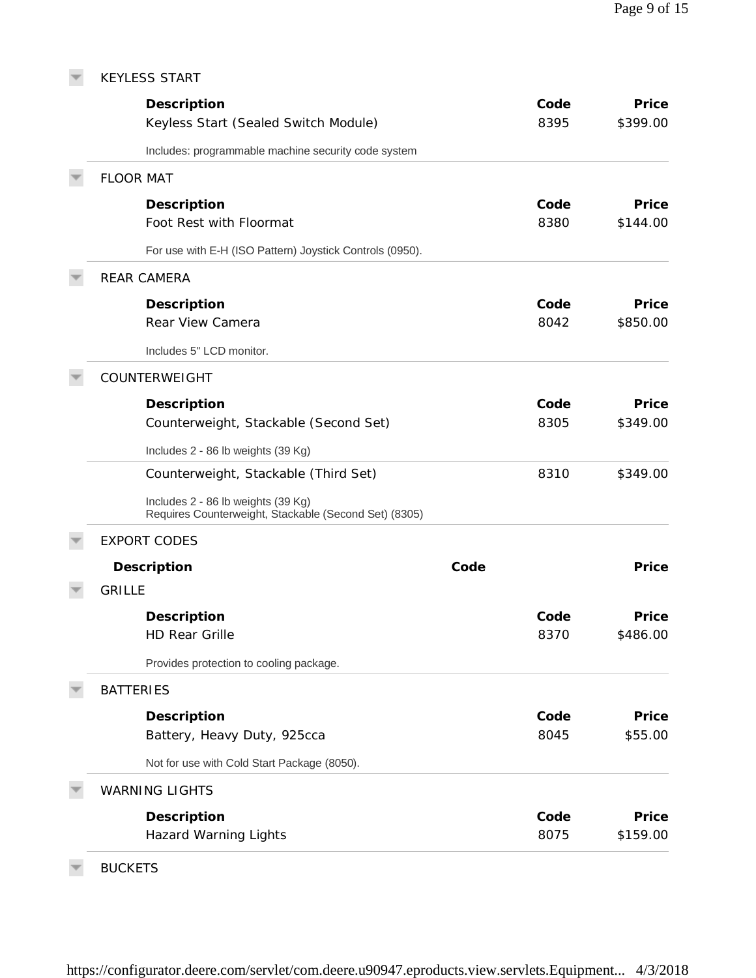| <b>KEYLESS START</b>                                                                        |      |      |          |
|---------------------------------------------------------------------------------------------|------|------|----------|
| Description                                                                                 |      | Code | Price    |
| Keyless Start (Sealed Switch Module)                                                        |      | 8395 | \$399.00 |
| Includes: programmable machine security code system                                         |      |      |          |
| <b>FLOOR MAT</b>                                                                            |      |      |          |
| Description                                                                                 |      | Code | Price    |
| Foot Rest with Floormat                                                                     |      | 8380 | \$144.00 |
| For use with E-H (ISO Pattern) Joystick Controls (0950).                                    |      |      |          |
| <b>REAR CAMERA</b>                                                                          |      |      |          |
| Description                                                                                 |      | Code | Price    |
| Rear View Camera                                                                            |      | 8042 | \$850.00 |
| Includes 5" LCD monitor.                                                                    |      |      |          |
| COUNTERWEIGHT                                                                               |      |      |          |
| Description                                                                                 |      | Code | Price    |
| Counterweight, Stackable (Second Set)                                                       |      | 8305 | \$349.00 |
| Includes 2 - 86 lb weights (39 Kg)                                                          |      |      |          |
| Counterweight, Stackable (Third Set)                                                        |      | 8310 | \$349.00 |
| Includes 2 - 86 lb weights (39 Kg)<br>Requires Counterweight, Stackable (Second Set) (8305) |      |      |          |
| <b>EXPORT CODES</b>                                                                         |      |      |          |
| Description                                                                                 | Code |      | Price    |
| <b>GRILLE</b>                                                                               |      |      |          |
| Description                                                                                 |      | Code | Price    |
| <b>HD Rear Grille</b>                                                                       |      | 8370 | \$486.00 |
| Provides protection to cooling package.                                                     |      |      |          |
| <b>BATTERIES</b>                                                                            |      |      |          |
| Description                                                                                 |      | Code | Price    |
| Battery, Heavy Duty, 925cca                                                                 |      | 8045 | \$55.00  |
| Not for use with Cold Start Package (8050).                                                 |      |      |          |
| <b>WARNING LIGHTS</b>                                                                       |      |      |          |
| Description                                                                                 |      | Code | Price    |
| <b>Hazard Warning Lights</b>                                                                |      | 8075 | \$159.00 |
|                                                                                             |      |      |          |

 $\overline{\mathbf{v}}$ BUCKETS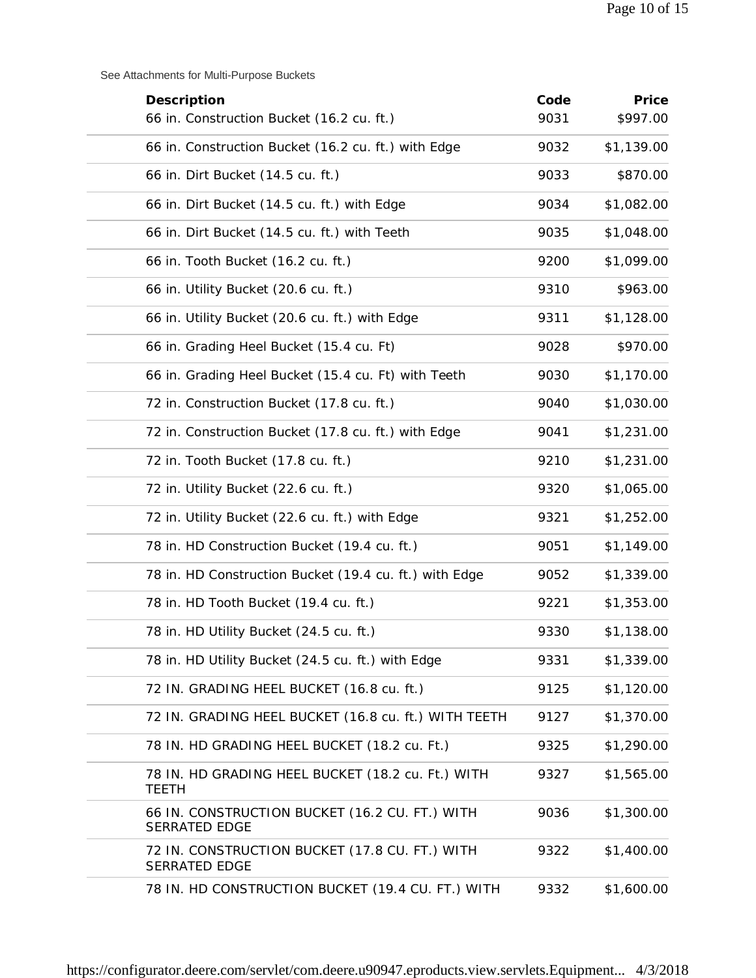See Attachments for Multi-Purpose Buckets

| Description                                                            | Code | Price      |
|------------------------------------------------------------------------|------|------------|
| 66 in. Construction Bucket (16.2 cu. ft.)                              | 9031 | \$997.00   |
| 66 in. Construction Bucket (16.2 cu. ft.) with Edge                    | 9032 | \$1,139.00 |
| 66 in. Dirt Bucket (14.5 cu. ft.)                                      | 9033 | \$870.00   |
| 66 in. Dirt Bucket (14.5 cu. ft.) with Edge                            | 9034 | \$1,082.00 |
| 66 in. Dirt Bucket (14.5 cu. ft.) with Teeth                           | 9035 | \$1,048.00 |
| 66 in. Tooth Bucket (16.2 cu. ft.)                                     | 9200 | \$1,099.00 |
| 66 in. Utility Bucket (20.6 cu. ft.)                                   | 9310 | \$963.00   |
| 66 in. Utility Bucket (20.6 cu. ft.) with Edge                         | 9311 | \$1,128.00 |
| 66 in. Grading Heel Bucket (15.4 cu. Ft)                               | 9028 | \$970.00   |
| 66 in. Grading Heel Bucket (15.4 cu. Ft) with Teeth                    | 9030 | \$1,170.00 |
| 72 in. Construction Bucket (17.8 cu. ft.)                              | 9040 | \$1,030.00 |
| 72 in. Construction Bucket (17.8 cu. ft.) with Edge                    | 9041 | \$1,231.00 |
| 72 in. Tooth Bucket (17.8 cu. ft.)                                     | 9210 | \$1,231.00 |
| 72 in. Utility Bucket (22.6 cu. ft.)                                   | 9320 | \$1,065.00 |
| 72 in. Utility Bucket (22.6 cu. ft.) with Edge                         | 9321 | \$1,252.00 |
| 78 in. HD Construction Bucket (19.4 cu. ft.)                           | 9051 | \$1,149.00 |
| 78 in. HD Construction Bucket (19.4 cu. ft.) with Edge                 | 9052 | \$1,339.00 |
| 78 in. HD Tooth Bucket (19.4 cu. ft.)                                  | 9221 | \$1,353.00 |
| 78 in. HD Utility Bucket (24.5 cu. ft.)                                | 9330 | \$1,138.00 |
| 78 in. HD Utility Bucket (24.5 cu. ft.) with Edge                      | 9331 | \$1,339.00 |
| 72 IN. GRADING HEEL BUCKET (16.8 cu. ft.)                              | 9125 | \$1,120.00 |
| 72 IN. GRADING HEEL BUCKET (16.8 cu. ft.) WITH TEETH                   | 9127 | \$1,370.00 |
| 78 IN. HD GRADING HEEL BUCKET (18.2 cu. Ft.)                           | 9325 | \$1,290.00 |
| 78 IN. HD GRADING HEEL BUCKET (18.2 cu. Ft.) WITH<br><b>TEETH</b>      | 9327 | \$1,565.00 |
| 66 IN. CONSTRUCTION BUCKET (16.2 CU. FT.) WITH<br>SERRATED EDGE        | 9036 | \$1,300.00 |
| 72 IN. CONSTRUCTION BUCKET (17.8 CU. FT.) WITH<br><b>SERRATED EDGE</b> | 9322 | \$1,400.00 |
| 78 IN. HD CONSTRUCTION BUCKET (19.4 CU. FT.) WITH                      | 9332 | \$1,600.00 |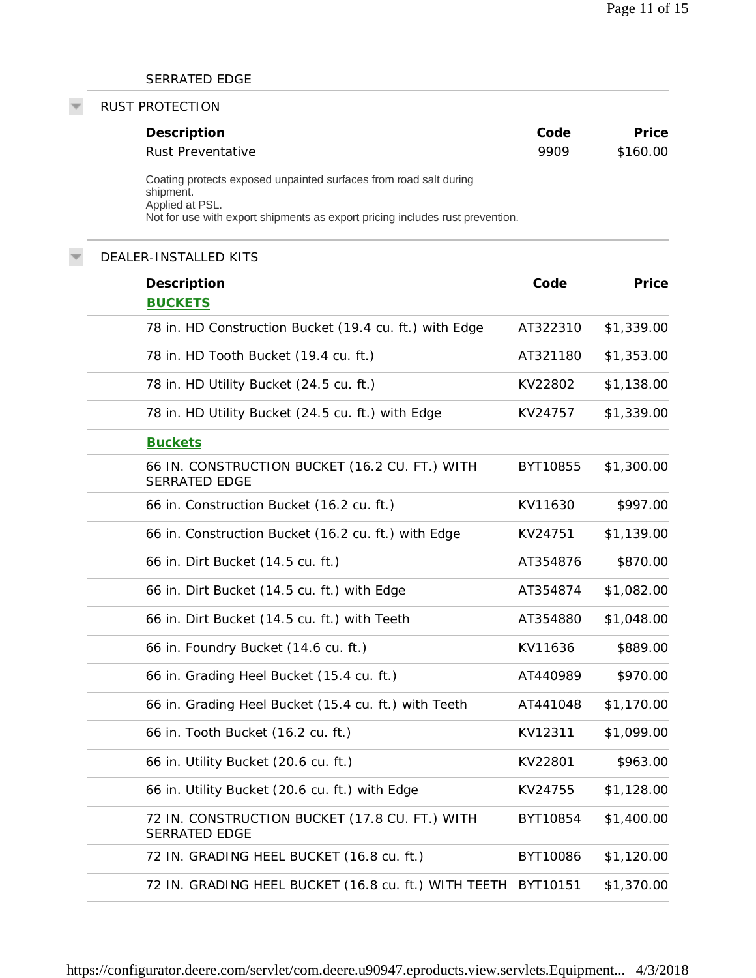### SERRATED EDGE

#### RUST PROTECTION

| Description                                                                    | Code | Price    |
|--------------------------------------------------------------------------------|------|----------|
| Rust Preventative                                                              | 9909 | \$160.00 |
| Coating protects exposed unpainted surfaces from road salt during<br>shipment. |      |          |
| Applied at PSL.                                                                |      |          |
| Not for use with export shipments as export pricing includes rust prevention.  |      |          |

# DEALER-INSTALLED KITS **Description Code Price BUCKETS** 78 in. HD Construction Bucket (19.4 cu. ft.) with Edge AT322310 \$1,339.00 78 in. HD Tooth Bucket (19.4 cu. ft.) AT321180 \$1,353.00 78 in. HD Utility Bucket (24.5 cu. ft.) KV22802 \$1,138.00 78 in. HD Utility Bucket (24.5 cu. ft.) with Edge  $\sim$  KV24757 \$1,339.00 **Buckets** 66 IN. CONSTRUCTION BUCKET (16.2 CU. FT.) WITH SERRATED EDGE BYT10855 \$1,300.00 66 in. Construction Bucket (16.2 cu. ft.) KV11630 \$997.00 66 in. Construction Bucket (16.2 cu. ft.) with Edge KV24751 \$1,139.00 66 in. Dirt Bucket (14.5 cu. ft.) AT354876 \$870.00 66 in. Dirt Bucket (14.5 cu. ft.) with Edge  $AT354874$  \$1,082.00 66 in. Dirt Bucket (14.5 cu. ft.) with Teeth AT354880 \$1,048.00 66 in. Foundry Bucket (14.6 cu. ft.) KV11636 \$889.00 66 in. Grading Heel Bucket (15.4 cu. ft.) AT440989 \$970.00 66 in. Grading Heel Bucket (15.4 cu. ft.) with Teeth AT441048 \$1,170.00 66 in. Tooth Bucket (16.2 cu. ft.) KV12311 \$1,099.00 66 in. Utility Bucket (20.6 cu. ft.)  $\qquad \qquad$  KV22801  $\qquad$  \$963.00 66 in. Utility Bucket (20.6 cu. ft.) with Edge KV24755 \$1,128.00 72 IN. CONSTRUCTION BUCKET (17.8 CU. FT.) WITH SERRATED EDGE BYT10854 \$1,400.00 72 IN. GRADING HEEL BUCKET (16.8 cu. ft.) BYT10086 \$1,120.00 72 IN. GRADING HEEL BUCKET (16.8 cu. ft.) WITH TEETH BYT10151 \$1,370.00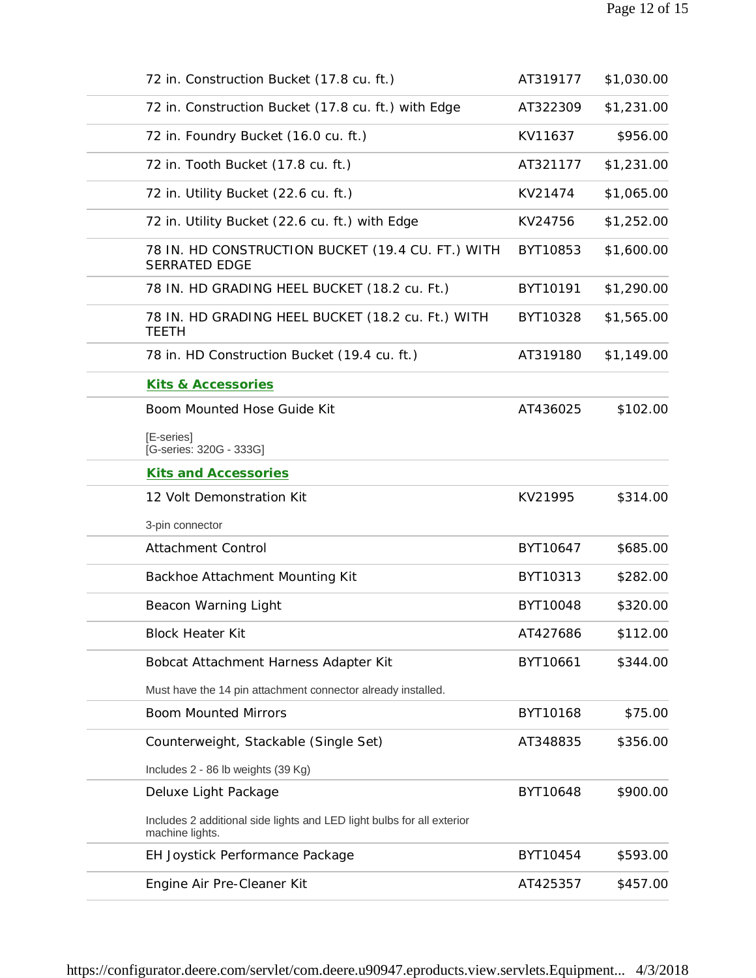| 72 in. Construction Bucket (17.8 cu. ft.)                                                 | AT319177 | \$1,030.00 |
|-------------------------------------------------------------------------------------------|----------|------------|
| 72 in. Construction Bucket (17.8 cu. ft.) with Edge                                       | AT322309 | \$1,231.00 |
| 72 in. Foundry Bucket (16.0 cu. ft.)                                                      | KV11637  | \$956.00   |
| 72 in. Tooth Bucket (17.8 cu. ft.)                                                        | AT321177 | \$1,231.00 |
| 72 in. Utility Bucket (22.6 cu. ft.)                                                      | KV21474  | \$1,065.00 |
| 72 in. Utility Bucket (22.6 cu. ft.) with Edge                                            | KV24756  | \$1,252.00 |
| 78 IN. HD CONSTRUCTION BUCKET (19.4 CU. FT.) WITH<br><b>SERRATED EDGE</b>                 | BYT10853 | \$1,600.00 |
| 78 IN. HD GRADING HEEL BUCKET (18.2 cu. Ft.)                                              | BYT10191 | \$1,290.00 |
| 78 IN. HD GRADING HEEL BUCKET (18.2 cu. Ft.) WITH<br><b>TEETH</b>                         | BYT10328 | \$1,565.00 |
| 78 in. HD Construction Bucket (19.4 cu. ft.)                                              | AT319180 | \$1,149.00 |
| Kits & Accessories                                                                        |          |            |
| Boom Mounted Hose Guide Kit                                                               | AT436025 | \$102.00   |
| [E-series]<br>[G-series: 320G - 333G]                                                     |          |            |
| <b>Kits and Accessories</b>                                                               |          |            |
| 12 Volt Demonstration Kit                                                                 | KV21995  | \$314.00   |
| 3-pin connector                                                                           |          |            |
| <b>Attachment Control</b>                                                                 | BYT10647 | \$685.00   |
| Backhoe Attachment Mounting Kit                                                           | BYT10313 | \$282.00   |
| Beacon Warning Light                                                                      | BYT10048 | \$320.00   |
| <b>Block Heater Kit</b>                                                                   | AT427686 | \$112.00   |
| Bobcat Attachment Harness Adapter Kit                                                     | BYT10661 | \$344.00   |
| Must have the 14 pin attachment connector already installed.                              |          |            |
| <b>Boom Mounted Mirrors</b>                                                               | BYT10168 | \$75.00    |
| Counterweight, Stackable (Single Set)                                                     | AT348835 | \$356.00   |
| Includes 2 - 86 lb weights (39 Kg)                                                        |          |            |
| Deluxe Light Package                                                                      | BYT10648 | \$900.00   |
| Includes 2 additional side lights and LED light bulbs for all exterior<br>machine lights. |          |            |
| EH Joystick Performance Package                                                           | BYT10454 | \$593.00   |
| Engine Air Pre-Cleaner Kit                                                                | AT425357 | \$457.00   |
|                                                                                           |          |            |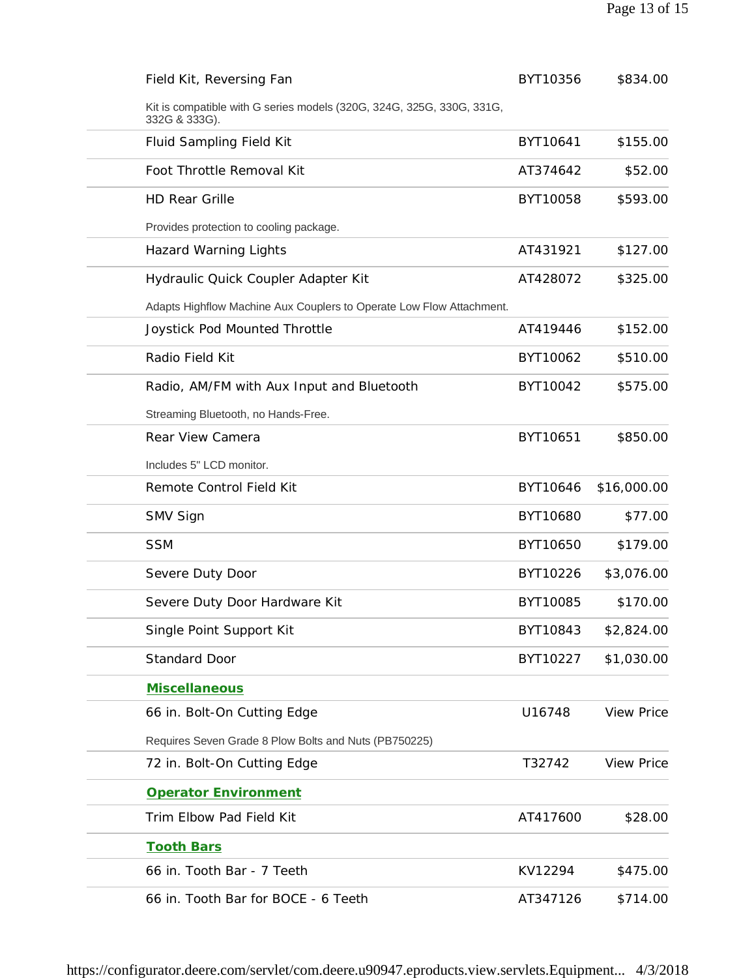| Field Kit, Reversing Fan                                                               | BYT10356 | \$834.00          |
|----------------------------------------------------------------------------------------|----------|-------------------|
| Kit is compatible with G series models (320G, 324G, 325G, 330G, 331G,<br>332G & 333G). |          |                   |
| Fluid Sampling Field Kit                                                               | BYT10641 | \$155.00          |
| Foot Throttle Removal Kit                                                              | AT374642 | \$52.00           |
| <b>HD Rear Grille</b>                                                                  | BYT10058 | \$593.00          |
| Provides protection to cooling package.                                                |          |                   |
| <b>Hazard Warning Lights</b>                                                           | AT431921 | \$127.00          |
| Hydraulic Quick Coupler Adapter Kit                                                    | AT428072 | \$325.00          |
| Adapts Highflow Machine Aux Couplers to Operate Low Flow Attachment.                   |          |                   |
| Joystick Pod Mounted Throttle                                                          | AT419446 | \$152.00          |
| Radio Field Kit                                                                        | BYT10062 | \$510.00          |
| Radio, AM/FM with Aux Input and Bluetooth                                              | BYT10042 | \$575.00          |
| Streaming Bluetooth, no Hands-Free.                                                    |          |                   |
| Rear View Camera                                                                       | BYT10651 | \$850.00          |
| Includes 5" LCD monitor.                                                               |          |                   |
| Remote Control Field Kit                                                               | BYT10646 | \$16,000.00       |
| SMV Sign                                                                               | BYT10680 | \$77.00           |
| <b>SSM</b>                                                                             | BYT10650 | \$179.00          |
| Severe Duty Door                                                                       | BYT10226 | \$3,076.00        |
| Severe Duty Door Hardware Kit                                                          | BYT10085 | \$170.00          |
| Single Point Support Kit                                                               | BYT10843 | \$2,824.00        |
| <b>Standard Door</b>                                                                   | BYT10227 | \$1,030.00        |
| <b>Miscellaneous</b>                                                                   |          |                   |
| 66 in. Bolt-On Cutting Edge                                                            | U16748   | <b>View Price</b> |
| Requires Seven Grade 8 Plow Bolts and Nuts (PB750225)                                  |          |                   |
| 72 in. Bolt-On Cutting Edge                                                            | T32742   | <b>View Price</b> |
| Operator Environment                                                                   |          |                   |
| Trim Elbow Pad Field Kit                                                               | AT417600 | \$28.00           |
| <b>Tooth Bars</b>                                                                      |          |                   |
| 66 in. Tooth Bar - 7 Teeth                                                             | KV12294  | \$475.00          |
| 66 in. Tooth Bar for BOCE - 6 Teeth                                                    | AT347126 | \$714.00          |
|                                                                                        |          |                   |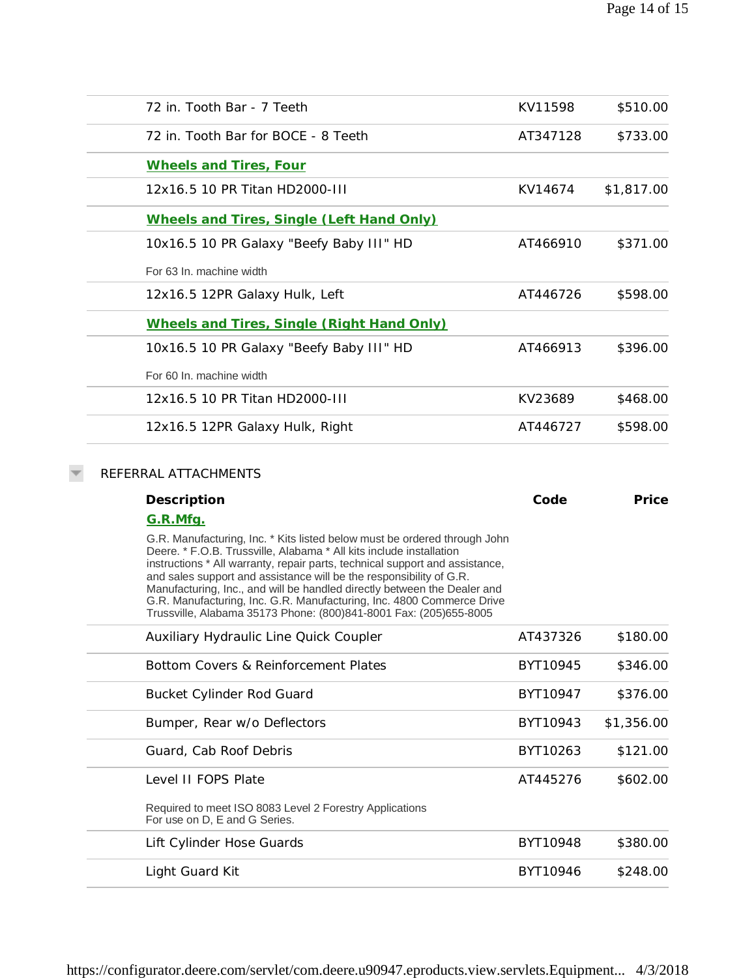| 72 in. Tooth Bar - 7 Teeth                                                                                                                                                                                                                                                                                                                                                                                                                                                              | KV11598  | \$510.00   |
|-----------------------------------------------------------------------------------------------------------------------------------------------------------------------------------------------------------------------------------------------------------------------------------------------------------------------------------------------------------------------------------------------------------------------------------------------------------------------------------------|----------|------------|
| 72 in. Tooth Bar for BOCE - 8 Teeth                                                                                                                                                                                                                                                                                                                                                                                                                                                     | AT347128 | \$733.00   |
| <b>Wheels and Tires, Four</b>                                                                                                                                                                                                                                                                                                                                                                                                                                                           |          |            |
| 12x16.5 10 PR Titan HD2000-III                                                                                                                                                                                                                                                                                                                                                                                                                                                          | KV14674  | \$1,817.00 |
| Wheels and Tires, Single (Left Hand Only)                                                                                                                                                                                                                                                                                                                                                                                                                                               |          |            |
| 10x16.5 10 PR Galaxy "Beefy Baby III" HD                                                                                                                                                                                                                                                                                                                                                                                                                                                | AT466910 | \$371.00   |
| For 63 In. machine width                                                                                                                                                                                                                                                                                                                                                                                                                                                                |          |            |
| 12x16.5 12PR Galaxy Hulk, Left                                                                                                                                                                                                                                                                                                                                                                                                                                                          | AT446726 | \$598.00   |
| Wheels and Tires, Single (Right Hand Only)                                                                                                                                                                                                                                                                                                                                                                                                                                              |          |            |
| 10x16.5 10 PR Galaxy "Beefy Baby III" HD                                                                                                                                                                                                                                                                                                                                                                                                                                                | AT466913 | \$396.00   |
| For 60 In. machine width                                                                                                                                                                                                                                                                                                                                                                                                                                                                |          |            |
| 12x16.5 10 PR Titan HD2000-III                                                                                                                                                                                                                                                                                                                                                                                                                                                          | KV23689  | \$468.00   |
| 12x16.5 12PR Galaxy Hulk, Right                                                                                                                                                                                                                                                                                                                                                                                                                                                         | AT446727 | \$598.00   |
| Description<br>G.R.Mfg.<br>G.R. Manufacturing, Inc. * Kits listed below must be ordered through John<br>Deere. * F.O.B. Trussville, Alabama * All kits include installation<br>instructions * All warranty, repair parts, technical support and assistance,<br>and sales support and assistance will be the responsibility of G.R.<br>Manufacturing, Inc., and will be handled directly between the Dealer and<br>G.R. Manufacturing, Inc. G.R. Manufacturing, Inc. 4800 Commerce Drive | Code     | Price      |
| Trussville, Alabama 35173 Phone: (800)841-8001 Fax: (205)655-8005<br>Auxiliary Hydraulic Line Quick Coupler                                                                                                                                                                                                                                                                                                                                                                             | AT437326 | \$180.00   |
| Bottom Covers & Reinforcement Plates                                                                                                                                                                                                                                                                                                                                                                                                                                                    | BYT10945 | \$346.00   |
|                                                                                                                                                                                                                                                                                                                                                                                                                                                                                         |          |            |
| <b>Bucket Cylinder Rod Guard</b>                                                                                                                                                                                                                                                                                                                                                                                                                                                        | BYT10947 | \$376.00   |
| Bumper, Rear w/o Deflectors                                                                                                                                                                                                                                                                                                                                                                                                                                                             | BYT10943 | \$1,356.00 |
| Guard, Cab Roof Debris                                                                                                                                                                                                                                                                                                                                                                                                                                                                  | BYT10263 | \$121.00   |
| Level II FOPS Plate                                                                                                                                                                                                                                                                                                                                                                                                                                                                     | AT445276 | \$602.00   |
| Required to meet ISO 8083 Level 2 Forestry Applications<br>For use on D, E and G Series.                                                                                                                                                                                                                                                                                                                                                                                                |          |            |
| Lift Cylinder Hose Guards                                                                                                                                                                                                                                                                                                                                                                                                                                                               | BYT10948 | \$380.00   |
| Light Guard Kit                                                                                                                                                                                                                                                                                                                                                                                                                                                                         | BYT10946 | \$248.00   |
|                                                                                                                                                                                                                                                                                                                                                                                                                                                                                         |          |            |